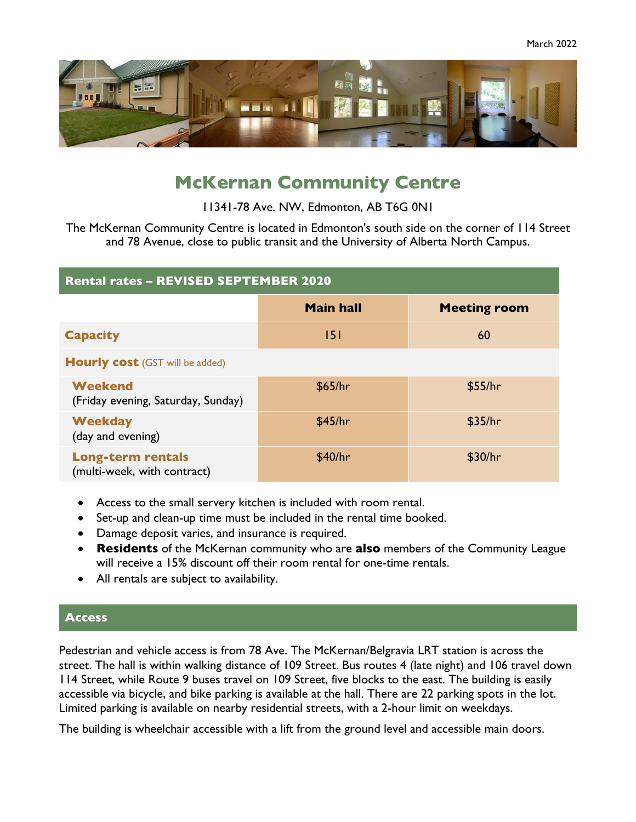

# **McKernan Community Centre**

11341-78 Ave. NW, Edmonton, AB T6G 0N1

The McKernan Community Centre is located in Edmonton's south side on the corner of 114 Street and 78 Avenue, close to public transit and the University of Alberta North Campus.

| <b>Rental rates - REVISED SEPTEMBER 2020</b>            |                  |                     |
|---------------------------------------------------------|------------------|---------------------|
|                                                         | <b>Main hall</b> | <b>Meeting room</b> |
| <b>Capacity</b>                                         | 5                | 60                  |
| <b>Hourly cost (GST will be added)</b>                  |                  |                     |
| Weekend<br>(Friday evening, Saturday, Sunday)           | \$65/hr          | \$55/hr             |
| <b>Weekday</b><br>(day and evening)                     | \$45/hr          | \$35/hr             |
| <b>Long-term rentals</b><br>(multi-week, with contract) | \$40/hr          | \$30/hr             |

- Access to the small servery kitchen is included with room rental.
- Set-up and clean-up time must be included in the rental time booked.
- Damage deposit varies, and insurance is required.
- **Residents** of the McKernan community who are **also** members of the Community League will receive a 15% discount off their room rental for one-time rentals.
- All rentals are subject to availability.

### **Access**

Pedestrian and vehicle access is from 78 Ave. The McKernan/Belgravia LRT station is across the street. The hall is within walking distance of 109 Street. Bus routes 4 (late night) and 106 travel down 114 Street, while Route 9 buses travel on 109 Street, five blocks to the east. The building is easily accessible via bicycle, and bike parking is available at the hall. There are 22 parking spots in the lot. Limited parking is available on nearby residential streets, with a 2-hour limit on weekdays.

The building is wheelchair accessible with a lift from the ground level and accessible main doors.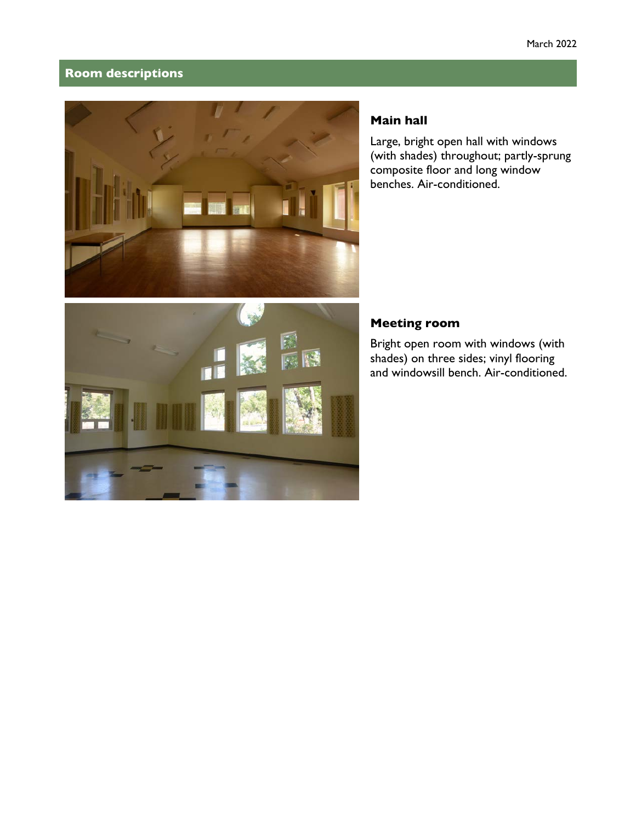### **Room descriptions**



## **Main hall**

Large, bright open hall with windows (with shades) throughout; partly-sprung composite floor and long window benches. Air-conditioned.



Bright open room with windows (with shades) on three sides; vinyl flooring and windowsill bench. Air-conditioned.